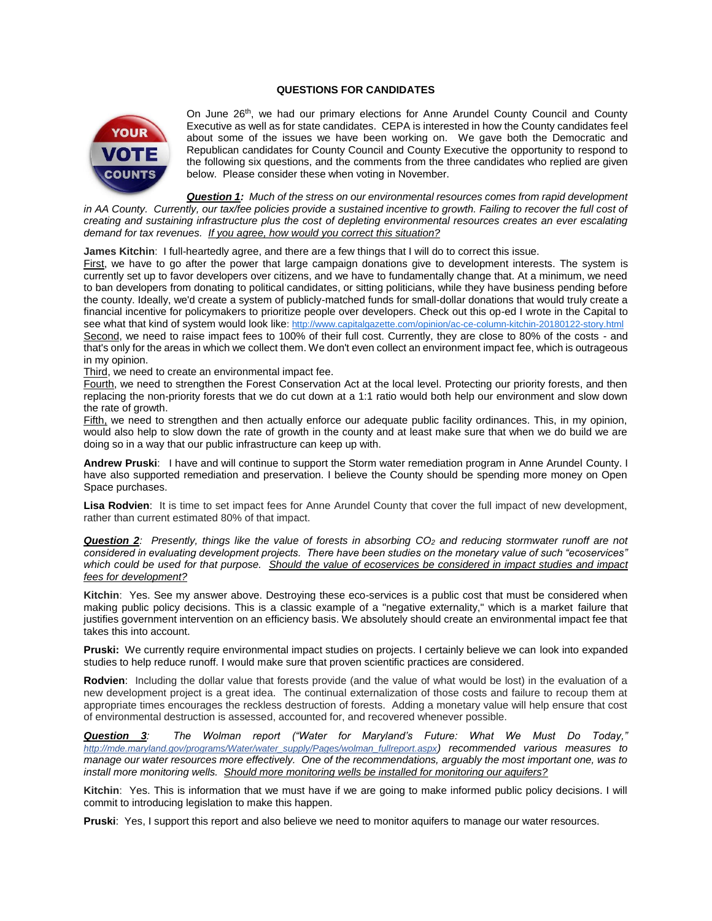## **QUESTIONS FOR CANDIDATES**



On June 26<sup>th</sup>, we had our primary elections for Anne Arundel County Council and County Executive as well as for state candidates. CEPA is interested in how the County candidates feel about some of the issues we have been working on. We gave both the Democratic and Republican candidates for County Council and County Executive the opportunity to respond to the following six questions, and the comments from the three candidates who replied are given below. Please consider these when voting in November.

*Question 1: Much of the stress on our environmental resources comes from rapid development in AA County. Currently, our tax/fee policies provide a sustained incentive to growth. Failing to recover the full cost of creating and sustaining infrastructure plus the cost of depleting environmental resources creates an ever escalating demand for tax revenues. If you agree, how would you correct this situation?*

**James Kitchin**: I full-heartedly agree, and there are a few things that I will do to correct this issue.

First, we have to go after the power that large campaign donations give to development interests. The system is currently set up to favor developers over citizens, and we have to fundamentally change that. At a minimum, we need to ban developers from donating to political candidates, or sitting politicians, while they have business pending before the county. Ideally, we'd create a system of publicly-matched funds for small-dollar donations that would truly create a financial incentive for policymakers to prioritize people over developers. Check out this op-ed I wrote in the Capital to see what that kind of system would look like: <http://www.capitalgazette.com/opinion/ac-ce-column-kitchin-20180122-story.html> Second, we need to raise impact fees to 100% of their full cost. Currently, they are close to 80% of the costs - and that's only for the areas in which we collect them. We don't even collect an environment impact fee, which is outrageous in my opinion.

Third, we need to create an environmental impact fee.

Fourth, we need to strengthen the Forest Conservation Act at the local level. Protecting our priority forests, and then replacing the non-priority forests that we do cut down at a 1:1 ratio would both help our environment and slow down the rate of growth.

Fifth, we need to strengthen and then actually enforce our adequate public facility ordinances. This, in my opinion, would also help to slow down the rate of growth in the county and at least make sure that when we do build we are doing so in a way that our public infrastructure can keep up with.

**Andrew Pruski**: I have and will continue to support the Storm water remediation program in Anne Arundel County. I have also supported remediation and preservation. I believe the County should be spending more money on Open Space purchases.

**Lisa Rodvien**: It is time to set impact fees for Anne Arundel County that cover the full impact of new development, rather than current estimated 80% of that impact.

*Question 2: Presently, things like the value of forests in absorbing CO<sup>2</sup> and reducing stormwater runoff are not considered in evaluating development projects. There have been studies on the monetary value of such "ecoservices"*  which could be used for that purpose. Should the value of ecoservices be considered in impact studies and impact *fees for development?*

**Kitchin**: Yes. See my answer above. Destroying these eco-services is a public cost that must be considered when making public policy decisions. This is a classic example of a "negative externality," which is a market failure that justifies government intervention on an efficiency basis. We absolutely should create an environmental impact fee that takes this into account.

**Pruski:** We currently require environmental impact studies on projects. I certainly believe we can look into expanded studies to help reduce runoff. I would make sure that proven scientific practices are considered.

**Rodvien**: Including the dollar value that forests provide (and the value of what would be lost) in the evaluation of a new development project is a great idea. The continual externalization of those costs and failure to recoup them at appropriate times encourages the reckless destruction of forests. Adding a monetary value will help ensure that cost of environmental destruction is assessed, accounted for, and recovered whenever possible.

*Question 3: The Wolman report ("Water for Maryland's Future: What We Must Do Today," http://mde.maryland.gov/programs/Water/water\_supply/Pages/wolman\_fullreport.aspx) recommended various measures to manage our water resources more effectively. One of the recommendations, arguably the most important one, was to install more monitoring wells. Should more monitoring wells be installed for monitoring our aquifers?* 

**Kitchin**: Yes. This is information that we must have if we are going to make informed public policy decisions. I will commit to introducing legislation to make this happen.

**Pruski**: Yes, I support this report and also believe we need to monitor aquifers to manage our water resources.